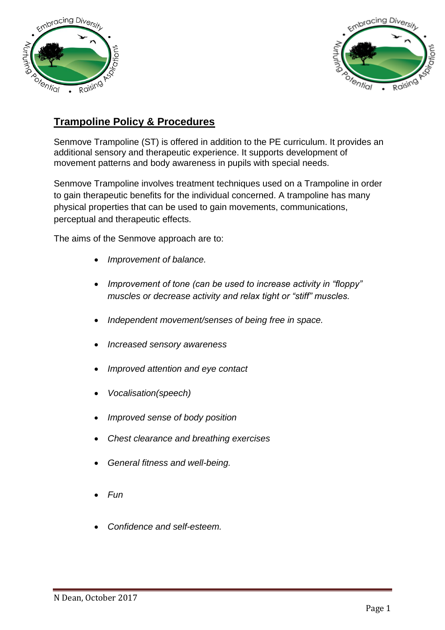



## **Trampoline Policy & Procedures**

Senmove Trampoline (ST) is offered in addition to the PE curriculum. It provides an additional sensory and therapeutic experience. It supports development of movement patterns and body awareness in pupils with special needs.

Senmove Trampoline involves treatment techniques used on a Trampoline in order to gain therapeutic benefits for the individual concerned. A trampoline has many physical properties that can be used to gain movements, communications, perceptual and therapeutic effects.

The aims of the Senmove approach are to:

- *Improvement of balance.*
- *Improvement of tone (can be used to increase activity in "floppy" muscles or decrease activity and relax tight or "stiff" muscles.*
- *Independent movement/senses of being free in space.*
- *Increased sensory awareness*
- *Improved attention and eye contact*
- *Vocalisation(speech)*
- *Improved sense of body position*
- *Chest clearance and breathing exercises*
- *General fitness and well-being.*
- *Fun*
- *Confidence and self-esteem.*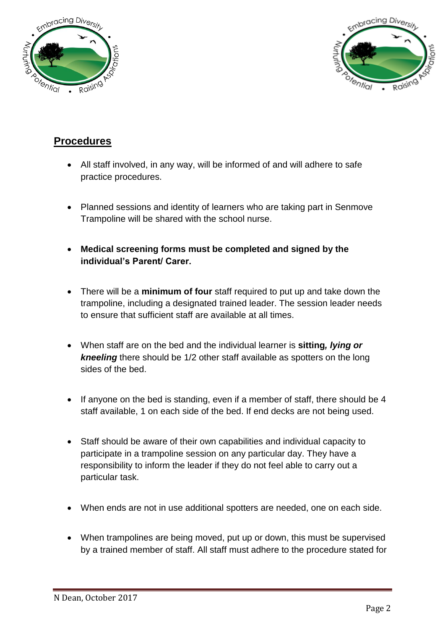



#### **Procedures**

- All staff involved, in any way, will be informed of and will adhere to safe practice procedures.
- Planned sessions and identity of learners who are taking part in Senmove Trampoline will be shared with the school nurse.
- **Medical screening forms must be completed and signed by the individual's Parent/ Carer.**
- There will be a **minimum of four** staff required to put up and take down the trampoline, including a designated trained leader. The session leader needs to ensure that sufficient staff are available at all times.
- When staff are on the bed and the individual learner is **sitting***, lying or kneeling* there should be 1/2 other staff available as spotters on the long sides of the bed.
- If anyone on the bed is standing, even if a member of staff, there should be 4 staff available, 1 on each side of the bed. If end decks are not being used.
- Staff should be aware of their own capabilities and individual capacity to participate in a trampoline session on any particular day. They have a responsibility to inform the leader if they do not feel able to carry out a particular task.
- When ends are not in use additional spotters are needed, one on each side.
- When trampolines are being moved, put up or down, this must be supervised by a trained member of staff. All staff must adhere to the procedure stated for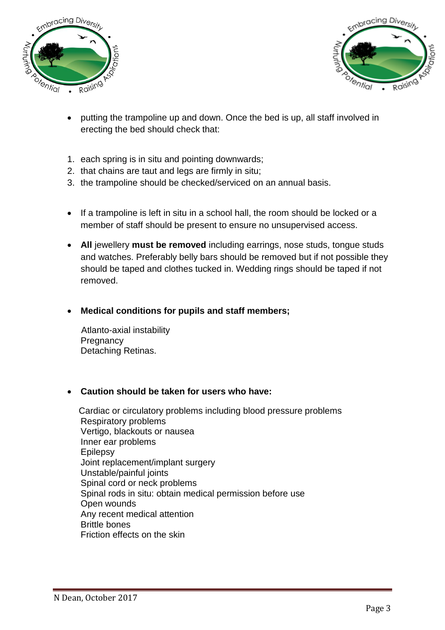



- putting the trampoline up and down. Once the bed is up, all staff involved in erecting the bed should check that:
- 1. each spring is in situ and pointing downwards;
- 2. that chains are taut and legs are firmly in situ;
- 3. the trampoline should be checked/serviced on an annual basis.
- If a trampoline is left in situ in a school hall, the room should be locked or a member of staff should be present to ensure no unsupervised access.
- **All** jewellery **must be removed** including earrings, nose studs, tongue studs and watches. Preferably belly bars should be removed but if not possible they should be taped and clothes tucked in. Wedding rings should be taped if not removed.
- **Medical conditions for pupils and staff members;**

 Atlanto-axial instability **Pregnancy** Detaching Retinas.

#### **Caution should be taken for users who have:**

 Cardiac or circulatory problems including blood pressure problems Respiratory problems Vertigo, blackouts or nausea Inner ear problems Epilepsy Joint replacement/implant surgery Unstable/painful joints Spinal cord or neck problems Spinal rods in situ: obtain medical permission before use Open wounds Any recent medical attention Brittle bones Friction effects on the skin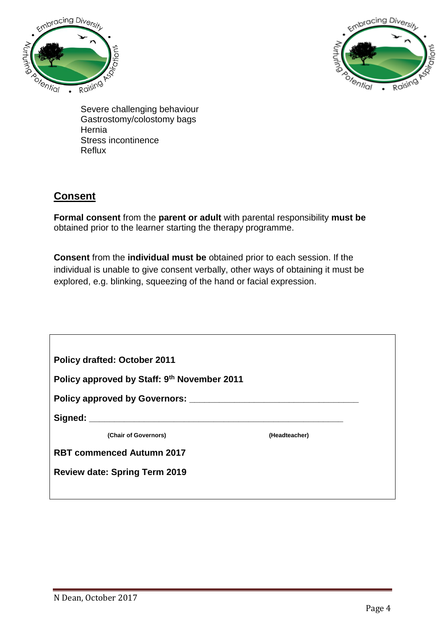



Severe challenging behaviour Gastrostomy/colostomy bags **Hernia** Stress incontinence Reflux

## **Consent**

**Formal consent** from the **parent or adult** with parental responsibility **must be** obtained prior to the learner starting the therapy programme.

**Consent** from the **individual must be** obtained prior to each session. If the individual is unable to give consent verbally, other ways of obtaining it must be explored, e.g. blinking, squeezing of the hand or facial expression.

| <b>Policy drafted: October 2011</b>         |               |
|---------------------------------------------|---------------|
| Policy approved by Staff: 9th November 2011 |               |
|                                             |               |
|                                             |               |
| (Chair of Governors)                        | (Headteacher) |
| <b>RBT commenced Autumn 2017</b>            |               |
| <b>Review date: Spring Term 2019</b>        |               |
|                                             |               |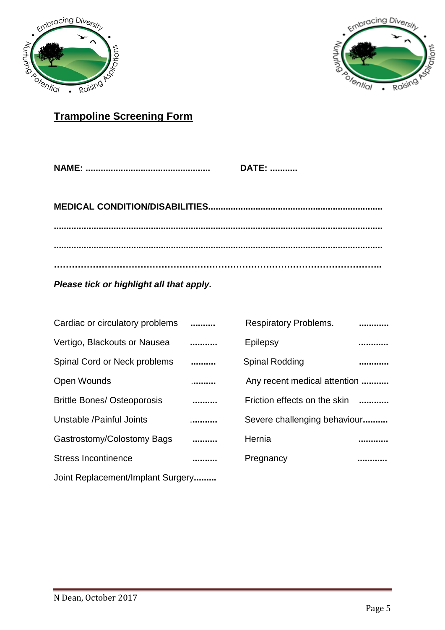



# **Trampoline Screening Form**

| <b>DATE: </b> |
|---------------|
|               |
|               |
|               |

**………………………………………………………………………………………………..**

*Please tick or highlight all that apply.* 

| Cardiac or circulatory problems    |   | <b>Respiratory Problems.</b> |  |  |
|------------------------------------|---|------------------------------|--|--|
| Vertigo, Blackouts or Nausea       |   | Epilepsy                     |  |  |
| Spinal Cord or Neck problems       |   | <b>Spinal Rodding</b>        |  |  |
| <b>Open Wounds</b>                 | . | Any recent medical attention |  |  |
| <b>Brittle Bones/ Osteoporosis</b> |   | Friction effects on the skin |  |  |
| Unstable / Painful Joints          | . | Severe challenging behaviour |  |  |
| Gastrostomy/Colostomy Bags         |   | Hernia                       |  |  |
| <b>Stress Incontinence</b>         |   | Pregnancy                    |  |  |
| Joint Replacement/Implant Surgery  |   |                              |  |  |